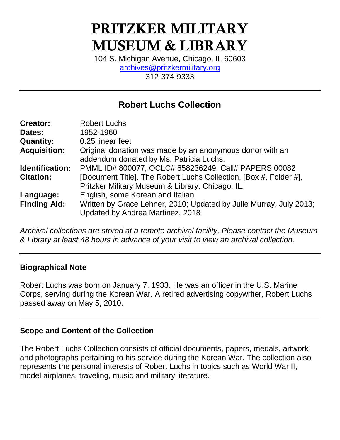# PRITZKER MILITARY MUSEUM & LIBRARY

104 S. Michigan Avenue, Chicago, IL 60603 [archives@pritzkermilitary.org](mailto:archives@pritzkermilitary.org) 312-374-9333

# **Robert Luchs Collection**

| <b>Creator:</b>     | <b>Robert Luchs</b>                                                |
|---------------------|--------------------------------------------------------------------|
| Dates:              | 1952-1960                                                          |
| <b>Quantity:</b>    | 0.25 linear feet                                                   |
| <b>Acquisition:</b> | Original donation was made by an anonymous donor with an           |
|                     | addendum donated by Ms. Patricia Luchs.                            |
| Identification:     | PMML ID# 800077, OCLC# 658236249, Call# PAPERS 00082               |
| <b>Citation:</b>    | [Document Title]. The Robert Luchs Collection, [Box #, Folder #],  |
|                     | Pritzker Military Museum & Library, Chicago, IL.                   |
| Language:           | English, some Korean and Italian                                   |
| <b>Finding Aid:</b> | Written by Grace Lehner, 2010; Updated by Julie Murray, July 2013; |
|                     | Updated by Andrea Martinez, 2018                                   |

*Archival collections are stored at a remote archival facility. Please contact the Museum & Library at least 48 hours in advance of your visit to view an archival collection.*

#### **Biographical Note**

Robert Luchs was born on January 7, 1933. He was an officer in the U.S. Marine Corps, serving during the Korean War. A retired advertising copywriter, Robert Luchs passed away on May 5, 2010.

#### **Scope and Content of the Collection**

The Robert Luchs Collection consists of official documents, papers, medals, artwork and photographs pertaining to his service during the Korean War. The collection also represents the personal interests of Robert Luchs in topics such as World War II, model airplanes, traveling, music and military literature.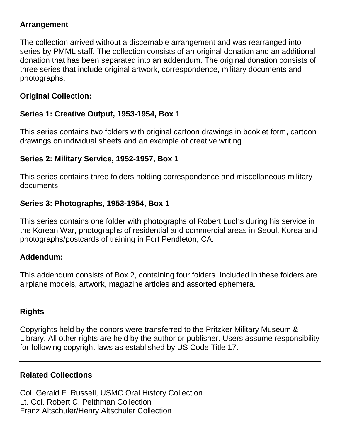#### **Arrangement**

The collection arrived without a discernable arrangement and was rearranged into series by PMML staff. The collection consists of an original donation and an additional donation that has been separated into an addendum. The original donation consists of three series that include original artwork, correspondence, military documents and photographs.

#### **Original Collection:**

## **Series 1: Creative Output, 1953-1954, Box 1**

This series contains two folders with original cartoon drawings in booklet form, cartoon drawings on individual sheets and an example of creative writing.

## **Series 2: Military Service, 1952-1957, Box 1**

This series contains three folders holding correspondence and miscellaneous military documents.

#### **Series 3: Photographs, 1953-1954, Box 1**

This series contains one folder with photographs of Robert Luchs during his service in the Korean War, photographs of residential and commercial areas in Seoul, Korea and photographs/postcards of training in Fort Pendleton, CA.

#### **Addendum:**

This addendum consists of Box 2, containing four folders. Included in these folders are airplane models, artwork, magazine articles and assorted ephemera.

#### **Rights**

Copyrights held by the donors were transferred to the Pritzker Military Museum & Library. All other rights are held by the author or publisher. Users assume responsibility for following copyright laws as established by US Code Title 17.

#### **Related Collections**

Col. Gerald F. Russell, USMC Oral History Collection Lt. Col. Robert C. Peithman Collection Franz Altschuler/Henry Altschuler Collection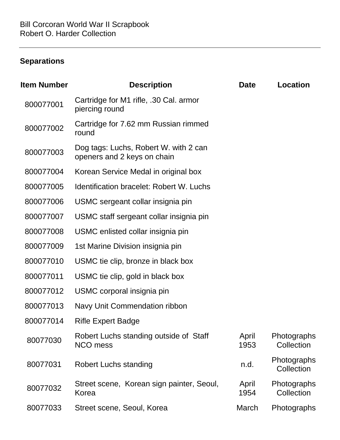# **Separations**

| ltem Number | <b>Description</b>                                                   | <b>Date</b>   | <b>Location</b>           |
|-------------|----------------------------------------------------------------------|---------------|---------------------------|
| 800077001   | Cartridge for M1 rifle, .30 Cal. armor<br>piercing round             |               |                           |
| 800077002   | Cartridge for 7.62 mm Russian rimmed<br>round                        |               |                           |
| 800077003   | Dog tags: Luchs, Robert W. with 2 can<br>openers and 2 keys on chain |               |                           |
| 800077004   | Korean Service Medal in original box                                 |               |                           |
| 800077005   | <b>Identification bracelet: Robert W. Luchs</b>                      |               |                           |
| 800077006   | USMC sergeant collar insignia pin                                    |               |                           |
| 800077007   | USMC staff sergeant collar insignia pin                              |               |                           |
| 800077008   | USMC enlisted collar insignia pin                                    |               |                           |
| 800077009   | 1st Marine Division insignia pin                                     |               |                           |
| 800077010   | USMC tie clip, bronze in black box                                   |               |                           |
| 800077011   | USMC tie clip, gold in black box                                     |               |                           |
| 800077012   | USMC corporal insignia pin                                           |               |                           |
| 800077013   | Navy Unit Commendation ribbon                                        |               |                           |
| 800077014   | <b>Rifle Expert Badge</b>                                            |               |                           |
| 80077030    | Robert Luchs standing outside of Staff<br>NCO mess                   | April<br>1953 | Photographs<br>Collection |
| 80077031    | <b>Robert Luchs standing</b>                                         | n.d.          | Photographs<br>Collection |
| 80077032    | Street scene, Korean sign painter, Seoul,<br>Korea                   | April<br>1954 | Photographs<br>Collection |
| 80077033    | Street scene, Seoul, Korea                                           | March         | Photographs               |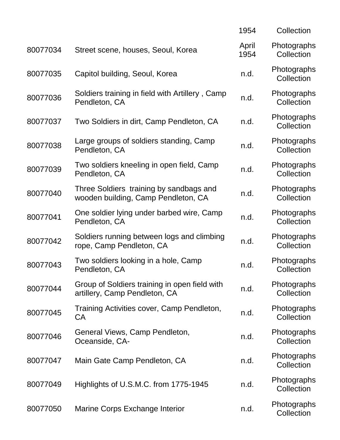|          |                                                                                | 1954          | Collection                |
|----------|--------------------------------------------------------------------------------|---------------|---------------------------|
| 80077034 | Street scene, houses, Seoul, Korea                                             | April<br>1954 | Photographs<br>Collection |
| 80077035 | Capitol building, Seoul, Korea                                                 | n.d.          | Photographs<br>Collection |
| 80077036 | Soldiers training in field with Artillery, Camp<br>Pendleton, CA               | n.d.          | Photographs<br>Collection |
| 80077037 | Two Soldiers in dirt, Camp Pendleton, CA                                       | n.d.          | Photographs<br>Collection |
| 80077038 | Large groups of soldiers standing, Camp<br>Pendleton, CA                       | n.d.          | Photographs<br>Collection |
| 80077039 | Two soldiers kneeling in open field, Camp<br>Pendleton, CA                     | n.d.          | Photographs<br>Collection |
| 80077040 | Three Soldiers training by sandbags and<br>wooden building, Camp Pendleton, CA | n.d.          | Photographs<br>Collection |
| 80077041 | One soldier lying under barbed wire, Camp<br>Pendleton, CA                     | n.d.          | Photographs<br>Collection |
| 80077042 | Soldiers running between logs and climbing<br>rope, Camp Pendleton, CA         | n.d.          | Photographs<br>Collection |
| 80077043 | Two soldiers looking in a hole, Camp<br>Pendleton, CA                          | n.d.          | Photographs<br>Collection |
| 80077044 | Group of Soldiers training in open field with<br>artillery, Camp Pendleton, CA | n.d.          | Photographs<br>Collection |
| 80077045 | Training Activities cover, Camp Pendleton,<br>CA                               | n.d.          | Photographs<br>Collection |
| 80077046 | General Views, Camp Pendleton,<br>Oceanside, CA-                               | n.d.          | Photographs<br>Collection |
| 80077047 | Main Gate Camp Pendleton, CA                                                   | n.d.          | Photographs<br>Collection |
| 80077049 | Highlights of U.S.M.C. from 1775-1945                                          | n.d.          | Photographs<br>Collection |
| 80077050 | Marine Corps Exchange Interior                                                 | n.d.          | Photographs<br>Collection |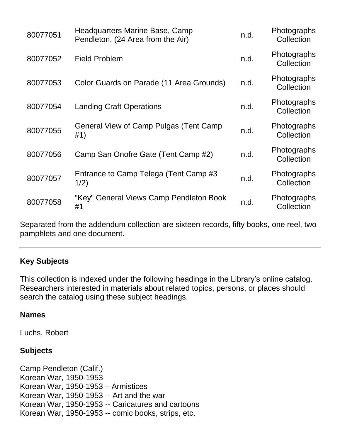| 80077051 | Headquarters Marine Base, Camp<br>Pendleton, (24 Area from the Air) | n.d. | Photographs<br>Collection |
|----------|---------------------------------------------------------------------|------|---------------------------|
| 80077052 | <b>Field Problem</b>                                                | n.d. | Photographs<br>Collection |
| 80077053 | Color Guards on Parade (11 Area Grounds)                            | n.d. | Photographs<br>Collection |
| 80077054 | <b>Landing Craft Operations</b>                                     | n.d. | Photographs<br>Collection |
| 80077055 | General View of Camp Pulgas (Tent Camp<br>#1)                       | n.d. | Photographs<br>Collection |
| 80077056 | Camp San Onofre Gate (Tent Camp #2)                                 | n.d. | Photographs<br>Collection |
| 80077057 | Entrance to Camp Telega (Tent Camp #3<br>1/2)                       | n.d. | Photographs<br>Collection |
| 80077058 | "Key" General Views Camp Pendleton Book<br>#1                       | n.d. | Photographs<br>Collection |

Separated from the addendum collection are sixteen records, fifty books, one reel, two pamphlets and one document.

#### **Key Subjects**

This collection is indexed under the following headings in the Library's online catalog. Researchers interested in materials about related topics, persons, or places should search the catalog using these subject headings.

#### **Names**

Luchs, Robert

#### **Subjects**

Camp Pendleton (Calif.) Korean War, 1950-1953 Korean War, 1950-1953 – Armistices Korean War, 1950-1953 -- Art and the war Korean War, 1950-1953 -- Caricatures and cartoons Korean War, 1950-1953 -- comic books, strips, etc.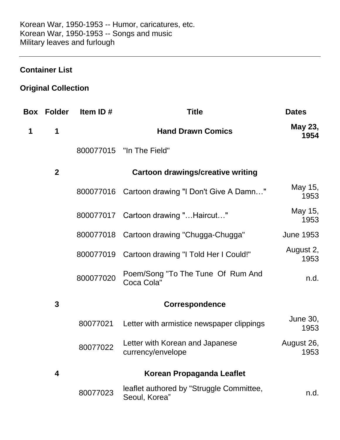#### **Container List**

# **Original Collection**

|   | <b>Box Folder</b> | Item ID#  | <b>Title</b>                                              | <b>Dates</b>       |
|---|-------------------|-----------|-----------------------------------------------------------|--------------------|
| 1 | 1                 |           | <b>Hand Drawn Comics</b>                                  | May 23,<br>1954    |
|   |                   |           | 800077015 "In The Field"                                  |                    |
|   | $\boldsymbol{2}$  |           | <b>Cartoon drawings/creative writing</b>                  |                    |
|   |                   | 800077016 | Cartoon drawing "I Don't Give A Damn"                     | May 15,<br>1953    |
|   |                   |           | 800077017 Cartoon drawing "Haircut"                       | May 15,<br>1953    |
|   |                   | 800077018 | Cartoon drawing "Chugga-Chugga"                           | <b>June 1953</b>   |
|   |                   | 800077019 | Cartoon drawing "I Told Her I Could!"                     | August 2,<br>1953  |
|   |                   | 800077020 | Poem/Song "To The Tune Of Rum And<br>Coca Cola"           | n.d.               |
|   | 3                 |           | Correspondence                                            |                    |
|   |                   | 80077021  | Letter with armistice newspaper clippings                 | June 30,<br>1953   |
|   |                   | 80077022  | Letter with Korean and Japanese<br>currency/envelope      | August 26,<br>1953 |
|   | 4                 |           | Korean Propaganda Leaflet                                 |                    |
|   |                   | 80077023  | leaflet authored by "Struggle Committee,<br>Seoul, Korea" | n.d.               |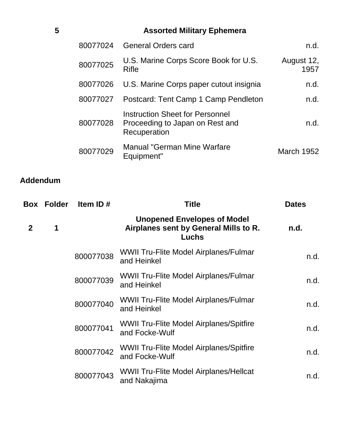| 5 |          | <b>Assorted Military Ephemera</b>                                                  |                    |
|---|----------|------------------------------------------------------------------------------------|--------------------|
|   | 80077024 | <b>General Orders card</b>                                                         | n.d.               |
|   | 80077025 | U.S. Marine Corps Score Book for U.S.<br><b>Rifle</b>                              | August 12,<br>1957 |
|   | 80077026 | U.S. Marine Corps paper cutout insignia                                            | n.d.               |
|   | 80077027 | Postcard: Tent Camp 1 Camp Pendleton                                               | n.d.               |
|   | 80077028 | Instruction Sheet for Personnel<br>Proceeding to Japan on Rest and<br>Recuperation | n.d.               |
|   | 80077029 | <b>Manual "German Mine Warfare</b><br>Equipment"                                   | <b>March 1952</b>  |

# **Addendum**

| Box          | <b>Folder</b> | Item ID#  | <b>Title</b>                                                                         | <b>Dates</b> |
|--------------|---------------|-----------|--------------------------------------------------------------------------------------|--------------|
| $\mathbf{2}$ | 1             |           | <b>Unopened Envelopes of Model</b><br>Airplanes sent by General Mills to R.<br>Luchs | n.d.         |
|              |               | 800077038 | <b>WWII Tru-Flite Model Airplanes/Fulmar</b><br>and Heinkel                          | n.d.         |
|              |               | 800077039 | <b>WWII Tru-Flite Model Airplanes/Fulmar</b><br>and Heinkel                          | n.d.         |
|              |               | 800077040 | <b>WWII Tru-Flite Model Airplanes/Fulmar</b><br>and Heinkel                          | n.d.         |
|              |               | 800077041 | <b>WWII Tru-Flite Model Airplanes/Spitfire</b><br>and Focke-Wulf                     | n.d.         |
|              |               | 800077042 | <b>WWII Tru-Flite Model Airplanes/Spitfire</b><br>and Focke-Wulf                     | n.d.         |
|              |               | 800077043 | <b>WWII Tru-Flite Model Airplanes/Hellcat</b><br>and Nakajima                        | n.d.         |